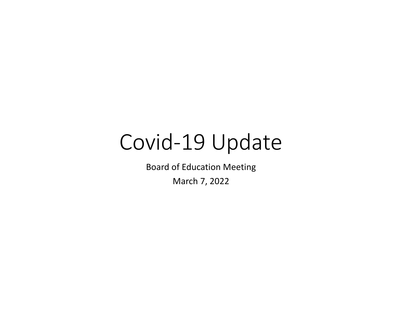# Covid-19 Update

Board of Education Meeting

March 7, 2022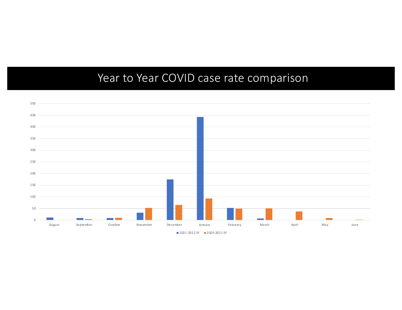### Year to Year COVID case rate comparison

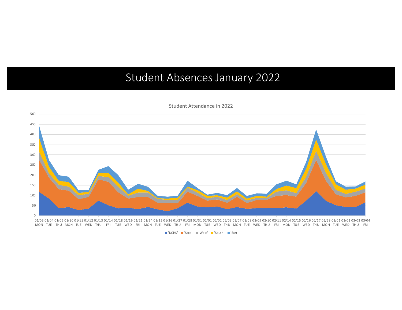#### Student Absences January 2022



Student Attendance in 2022

01/03 01/04 01/06 01/10 01/11 01/12 01/13 01/14 01/18 01/19 01/21 01/21 01/26 01/27 01/28 01/31 02/01 02/03 02/07 02/08 02/09 02/10 02/10 02/11 02/14 02/15 02/16 02/17 02/28 03/01 03/02 03/03 03/04 MON TUE THU MON TUE WED THU FRI TUE WED FRI MON TUE WED THU FRI MON TUE WED THU MON TUE WED THU MON TUE WED THU MON TUE WED THU FRI MON TUE WED THU FRI

■'NCHS' ■'Saxe' ■'West' ■'South' ■'East'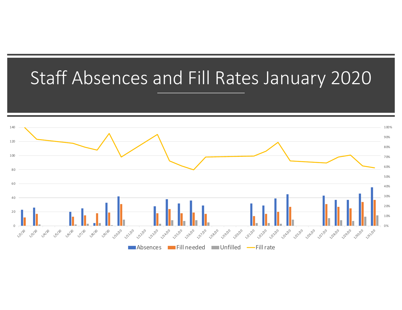## Staff Absences and Fill Rates January 2020

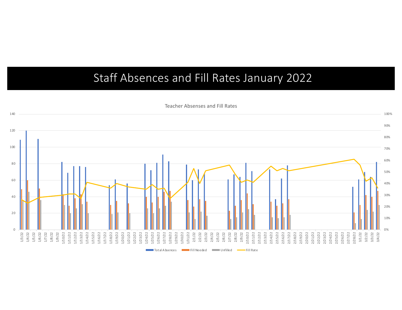### Staff Absences and Fill Rates January 2022



Teacher Absenses and Fill Rates